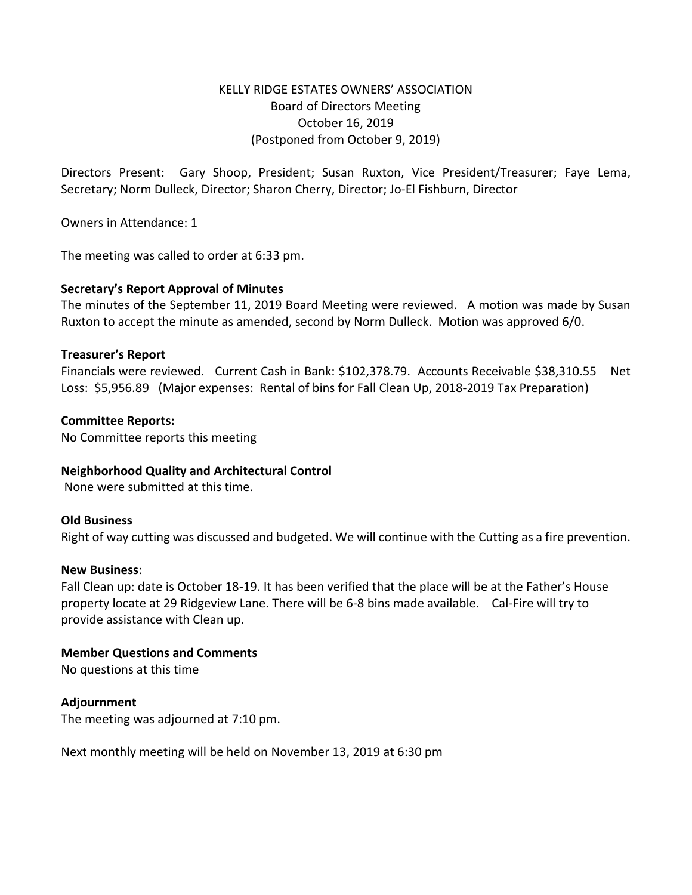# KELLY RIDGE ESTATES OWNERS' ASSOCIATION Board of Directors Meeting October 16, 2019 (Postponed from October 9, 2019)

Directors Present: Gary Shoop, President; Susan Ruxton, Vice President/Treasurer; Faye Lema, Secretary; Norm Dulleck, Director; Sharon Cherry, Director; Jo-El Fishburn, Director

Owners in Attendance: 1

The meeting was called to order at 6:33 pm.

## **Secretary's Report Approval of Minutes**

The minutes of the September 11, 2019 Board Meeting were reviewed. A motion was made by Susan Ruxton to accept the minute as amended, second by Norm Dulleck. Motion was approved 6/0.

#### **Treasurer's Report**

Financials were reviewed. Current Cash in Bank: \$102,378.79. Accounts Receivable \$38,310.55 Net Loss: \$5,956.89 (Major expenses: Rental of bins for Fall Clean Up, 2018-2019 Tax Preparation)

## **Committee Reports:**

No Committee reports this meeting

#### **Neighborhood Quality and Architectural Control**

None were submitted at this time.

#### **Old Business**

Right of way cutting was discussed and budgeted. We will continue with the Cutting as a fire prevention.

#### **New Business**:

Fall Clean up: date is October 18-19. It has been verified that the place will be at the Father's House property locate at 29 Ridgeview Lane. There will be 6-8 bins made available. Cal-Fire will try to provide assistance with Clean up.

#### **Member Questions and Comments**

No questions at this time

## **Adjournment**

The meeting was adjourned at 7:10 pm.

Next monthly meeting will be held on November 13, 2019 at 6:30 pm